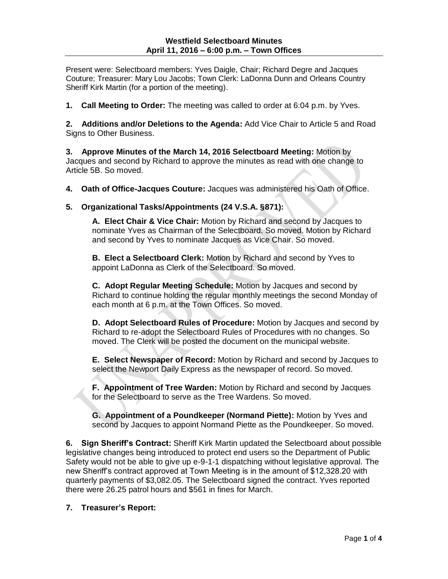Present were: Selectboard members: Yves Daigle, Chair; Richard Degre and Jacques Couture; Treasurer: Mary Lou Jacobs; Town Clerk: LaDonna Dunn and Orleans Country Sheriff Kirk Martin (for a portion of the meeting).

**1. Call Meeting to Order:** The meeting was called to order at 6:04 p.m. by Yves.

**2. Additions and/or Deletions to the Agenda:** Add Vice Chair to Article 5 and Road Signs to Other Business.

**3. Approve Minutes of the March 14, 2016 Selectboard Meeting:** Motion by Jacques and second by Richard to approve the minutes as read with one change to Article 5B. So moved.

**4. Oath of Office-Jacques Couture:** Jacques was administered his Oath of Office.

## **5. Organizational Tasks/Appointments (24 V.S.A. §871):**

**A. Elect Chair & Vice Chair:** Motion by Richard and second by Jacques to nominate Yves as Chairman of the Selectboard. So moved. Motion by Richard and second by Yves to nominate Jacques as Vice Chair. So moved.

**B. Elect a Selectboard Clerk:** Motion by Richard and second by Yves to appoint LaDonna as Clerk of the Selectboard. So moved.

**C. Adopt Regular Meeting Schedule:** Motion by Jacques and second by Richard to continue holding the regular monthly meetings the second Monday of each month at 6 p.m. at the Town Offices. So moved.

**D. Adopt Selectboard Rules of Procedure:** Motion by Jacques and second by Richard to re-adopt the Selectboard Rules of Procedures with no changes. So moved. The Clerk will be posted the document on the municipal website.

**E. Select Newspaper of Record:** Motion by Richard and second by Jacques to select the Newport Daily Express as the newspaper of record. So moved.

**F. Appointment of Tree Warden:** Motion by Richard and second by Jacques for the Selectboard to serve as the Tree Wardens. So moved.

**G. Appointment of a Poundkeeper (Normand Piette):** Motion by Yves and second by Jacques to appoint Normand Piette as the Poundkeeper. So moved.

**6. Sign Sheriff's Contract:** Sheriff Kirk Martin updated the Selectboard about possible legislative changes being introduced to protect end users so the Department of Public Safety would not be able to give up e-9-1-1 dispatching without legislative approval. The new Sheriff's contract approved at Town Meeting is in the amount of \$12,328.20 with quarterly payments of \$3,082.05. The Selectboard signed the contract. Yves reported there were 26.25 patrol hours and \$561 in fines for March.

## **7. Treasurer's Report:**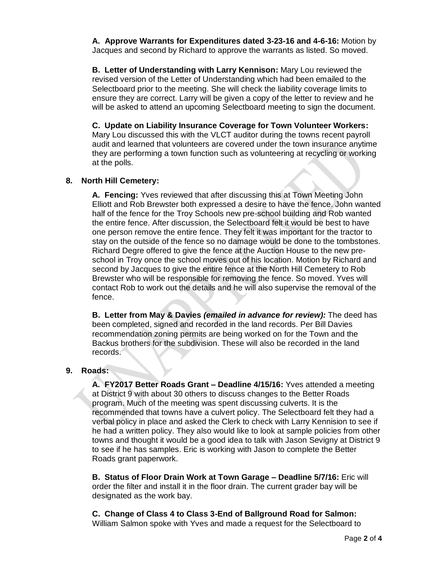**A. Approve Warrants for Expenditures dated 3-23-16 and 4-6-16:** Motion by Jacques and second by Richard to approve the warrants as listed. So moved.

**B. Letter of Understanding with Larry Kennison:** Mary Lou reviewed the revised version of the Letter of Understanding which had been emailed to the Selectboard prior to the meeting. She will check the liability coverage limits to ensure they are correct. Larry will be given a copy of the letter to review and he will be asked to attend an upcoming Selectboard meeting to sign the document.

**C. Update on Liability Insurance Coverage for Town Volunteer Workers:** Mary Lou discussed this with the VLCT auditor during the towns recent payroll audit and learned that volunteers are covered under the town insurance anytime they are performing a town function such as volunteering at recycling or working at the polls.

## **8. North Hill Cemetery:**

**A. Fencing:** Yves reviewed that after discussing this at Town Meeting John Elliott and Rob Brewster both expressed a desire to have the fence. John wanted half of the fence for the Troy Schools new pre-school building and Rob wanted the entire fence. After discussion, the Selectboard felt it would be best to have one person remove the entire fence. They felt it was important for the tractor to stay on the outside of the fence so no damage would be done to the tombstones. Richard Degre offered to give the fence at the Auction House to the new preschool in Troy once the school moves out of his location. Motion by Richard and second by Jacques to give the entire fence at the North Hill Cemetery to Rob Brewster who will be responsible for removing the fence. So moved. Yves will contact Rob to work out the details and he will also supervise the removal of the fence.

**B. Letter from May & Davies** *(emailed in advance for review):* The deed has been completed, signed and recorded in the land records. Per Bill Davies recommendation zoning permits are being worked on for the Town and the Backus brothers for the subdivision. These will also be recorded in the land records.

## **9. Roads:**

**A. FY2017 Better Roads Grant – Deadline 4/15/16:** Yves attended a meeting at District 9 with about 30 others to discuss changes to the Better Roads program. Much of the meeting was spent discussing culverts. It is the recommended that towns have a culvert policy. The Selectboard felt they had a verbal policy in place and asked the Clerk to check with Larry Kennision to see if he had a written policy. They also would like to look at sample policies from other towns and thought it would be a good idea to talk with Jason Sevigny at District 9 to see if he has samples. Eric is working with Jason to complete the Better Roads grant paperwork.

**B. Status of Floor Drain Work at Town Garage – Deadline 5/7/16:** Eric will order the filter and install it in the floor drain. The current grader bay will be designated as the work bay.

**C. Change of Class 4 to Class 3-End of Ballground Road for Salmon:** William Salmon spoke with Yves and made a request for the Selectboard to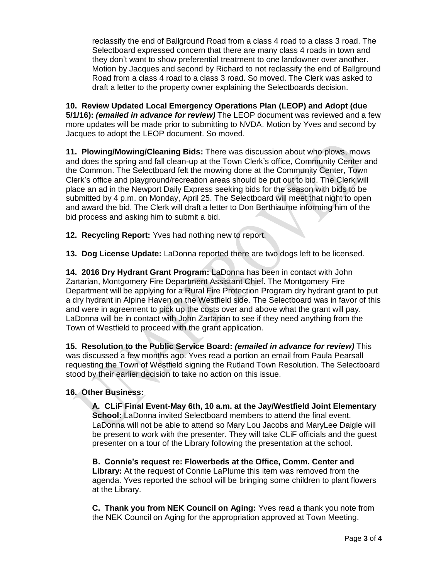reclassify the end of Ballground Road from a class 4 road to a class 3 road. The Selectboard expressed concern that there are many class 4 roads in town and they don't want to show preferential treatment to one landowner over another. Motion by Jacques and second by Richard to not reclassify the end of Ballground Road from a class 4 road to a class 3 road. So moved. The Clerk was asked to draft a letter to the property owner explaining the Selectboards decision.

**10. Review Updated Local Emergency Operations Plan (LEOP) and Adopt (due 5/1/16):** *(emailed in advance for review)* The LEOP document was reviewed and a few more updates will be made prior to submitting to NVDA. Motion by Yves and second by Jacques to adopt the LEOP document. So moved.

**11. Plowing/Mowing/Cleaning Bids:** There was discussion about who plows, mows and does the spring and fall clean-up at the Town Clerk's office, Community Center and the Common. The Selectboard felt the mowing done at the Community Center, Town Clerk's office and playground/recreation areas should be put out to bid. The Clerk will place an ad in the Newport Daily Express seeking bids for the season with bids to be submitted by 4 p.m. on Monday, April 25. The Selectboard will meet that night to open and award the bid. The Clerk will draft a letter to Don Berthiaume informing him of the bid process and asking him to submit a bid.

**12. Recycling Report:** Yves had nothing new to report.

**13. Dog License Update:** LaDonna reported there are two dogs left to be licensed.

**14. 2016 Dry Hydrant Grant Program:** LaDonna has been in contact with John Zartarian, Montgomery Fire Department Assistant Chief. The Montgomery Fire Department will be applying for a Rural Fire Protection Program dry hydrant grant to put a dry hydrant in Alpine Haven on the Westfield side. The Selectboard was in favor of this and were in agreement to pick up the costs over and above what the grant will pay. LaDonna will be in contact with John Zartarian to see if they need anything from the Town of Westfield to proceed with the grant application.

**15. Resolution to the Public Service Board:** *(emailed in advance for review)* This was discussed a few months ago. Yves read a portion an email from Paula Pearsall requesting the Town of Westfield signing the Rutland Town Resolution. The Selectboard stood by their earlier decision to take no action on this issue.

# **16. Other Business:**

**A. CLiF Final Event-May 6th, 10 a.m. at the Jay/Westfield Joint Elementary School:** LaDonna invited Selectboard members to attend the final event. LaDonna will not be able to attend so Mary Lou Jacobs and MaryLee Daigle will be present to work with the presenter. They will take CLiF officials and the guest presenter on a tour of the Library following the presentation at the school.

**B. Connie's request re: Flowerbeds at the Office, Comm. Center and Library:** At the request of Connie LaPlume this item was removed from the agenda. Yves reported the school will be bringing some children to plant flowers at the Library.

**C. Thank you from NEK Council on Aging:** Yves read a thank you note from the NEK Council on Aging for the appropriation approved at Town Meeting.